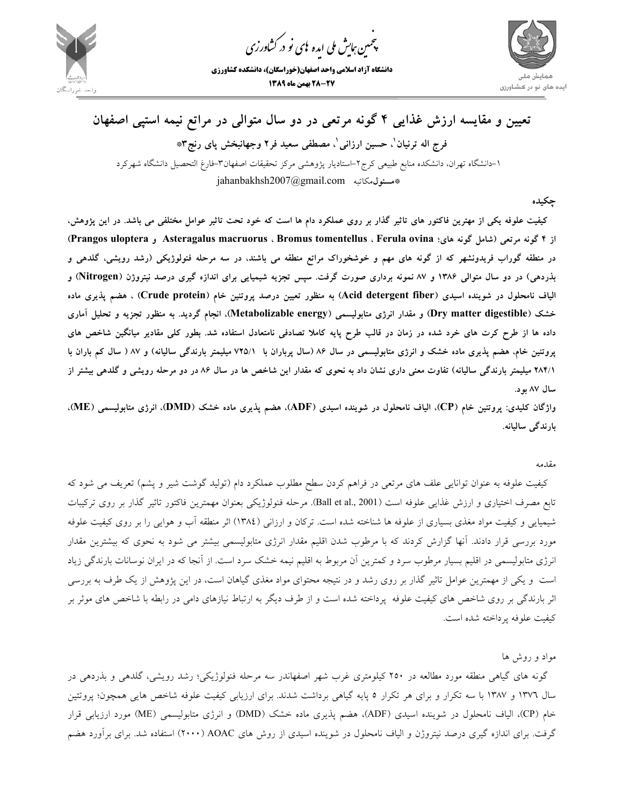

.<br>چمین *جایش ملی* ایده <sup>ب</sup>ای نو در کشاورزی ൕह

**دانشگاه آزاد اسلامي واحد اصفهان(خوراسگان)، دانشكده كشاورزي 28-27 بهمن ماه 1389**



## **تعيين و مقايسه ارزش غذايي 4 گونه مرتعي در دو سال متوالي در مراتع نيمه استپي اصفهان ، مصطفي سعيد فر2 وجهانبخش پاي رنج3\* <sup>1</sup> ، حسين ارزاني <sup>1</sup> فرج اله ترنيان** -1دانشگاه تهران، دانشكده منابع طبيعي كرج-2استاديار پژوهشي مركز تحقيقات اصفهان-3فارغ التحصيل دانشگاه شهركرد jahanbakhsh2007@gmail.com **مسئول**مكاتبه**\***

**چكيده** 

کیفیت علوفه یکی از مهترین فاکتور های تاثیر گذار بر روی عملکرد دام ها است که خود تحت تاثیر عوامل مختلفی می باشد. در این پژوهش،  **(Prangos uloptera و Asteragalus macruorus ، Bromus tomentellus ، Ferula ovina هاي؛ گونه شامل (مرتعي گونه 4 از** در منطقه گوراب فریدونشهر که از گونه های مهم و خوشخوراک مراتع منطقه می باشند، در سه مرحله فنولوژیکی (رشد رویشی، گلدهی و بذردهی) در دو سال متوالی ۱۳۸۶ و ۸۷ نمونه برداری صورت گرفت. سپس تجزیه شیمیایی برای اندازه گیری درصد نیتروژن (Nitrogen) و الیاف نامحلول در شوینده اسیدی (Acid detergent fiber) به منظور تعیین درصد پروتئین خام (Crude protein) ، هضم پذیری ماده خشک (Dry matter digestible) و مقدار انرژی متابولیسمی (Metabolizable energy)، انجام گردید. به منظور تجزیه و تحلیل آماری داده ها از طرح کرت های خرد شده در زمان در قالب طرح پایه کاملا تصادفی نامتعادل استفاده شد. بطور کلی مقادیر میانگین شاخص های پروتئین خام، هضم پذیری ماده خشک و انرژی متابولیسمی در سال ۸۶ (سال پرباران با ۷۲۵/۱ میلیمتر بارندگی سالیانه) و ۸۷ ( سال کم باران با ۲۸۴/۱ میلیمتر بارندگی سالیانه) تفاوت معنی داری نشان داد به نحوی که مقدار این شاخص ها در سال ۸۶ در دو مرحله رویشی و گلدهی بیشتر از **سال 87 بود.** 

واژگان کلیدی: پروتئین خام (CP)، الیاف نامحلول در شوینده اسیدی (ADF)، هضم پذیری ماده خشک (DMD)، انرژی متابولیسمی (ME)، **بارندگي ساليانه.** 

مقدمه

كيفيت علوفه به عنوان توانايي علف هاي مرتعي در فراهم كردن سطح مطلوب عملكرد دام (توليد گوشت شير و پشم) تعريف مي شود كه تابع مصرف اختياري و ارزش غذايي علوفه است (Ball et al., 2001). مرحله فنولوژيكي بعنوان مهمترين فاكتور تاثير گذار بر روي تركيبات شيميايي و كيفيت مواد مغذي بسياري از علوفه ها شناخته شده است. تركان و ارزاني (1384) اثر منطقه آب و هوايي را بر روي كيفيت علوفه مورد بررسي قرار دادند. آنها گزارش كردند كه با مرطوب شدن اقليم مقدار انرژي متابوليسمي بيشتر مي شود به نحوي كه بيشترين مقدار انرژي متابوليسمي در اقليم بسيار مرطوب سرد و كمترين آن مربوط به اقليم نيمه خشك سرد است. از آنجا كه در ايران نوسانات بارندگي زياد است و يكي از مهمترين عوامل تاثير گذار بر روي رشد و در نتيجه محتواي مواد مغذي گياهان است، در اين پژوهش از يك طرف به بررسي اثر بارندگي بر روي شاخص هاي كيفيت علوفه پرداخته شده است و از طرف ديگر به ارتباط نيازهاي دامي در رابطه با شاخص هاي موثر بر كيفيت علوفه پرداخته شده است.

مواد و روش ها

گونه هاي گياهي منطقه مورد مطالعه در 250 كيلومتري غرب شهر اصفهاندر سه مرحله فنولوژيكي؛ رشد رويشي، گلدهي و بذردهي در سال 1376 و 1387 با سه تكرار و براي هر تكرار 5 پايه گياهي برداشت شدند. براي ارزيابي كيفيت علوفه شاخص هايي همچون؛ پروتئين خام (CP)، الياف نامحلول در شوينده اسيدي (ADF)، هضم پذيري ماده خشك (DMD) و انرژي متابوليسمي (ME) مورد ارزيابي قرار گرفت. براي اندازه گيري درصد نيتروژن و الياف نامحلول در شوينده اسيدي از روش هاي AOAC) 2000 (استفاده شد. براي برآورد هضم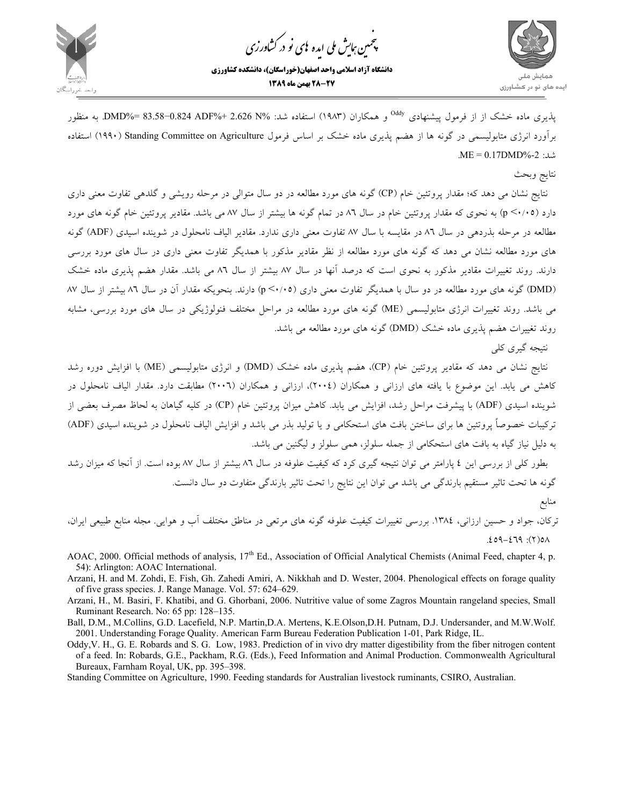

مین ہایش ملی ایده <sup>ب</sup>ای نو در کشاورزی ൕह ،<br>پې



یذیری ماده خشک از از فرمول پیشنهادی <sup>Oddy</sup> و همکاران (۱۹۸۳) استفاده شد: %ND%= 83.58−0.824 ADF به منظور برآورد انرژي متابوليسمي در گونه ها از هضم پذيري ماده خشك بر اساس فرمول Agriculture on Committee Standing) 1990 (استفاده .ME = 0.17DMD%-2 :شد

## نتايج وبحث

نتايج نشان مي دهد كه؛ مقدار پروتئين خام (CP (گونه هاي مورد مطالعه در دو سال متوالي در مرحله رويشي و گلدهي تفاوت معني داري دارد (0/05> <sup>p</sup> (به نحوي كه مقدار پروتئين خام در سال 86 در تمام گونه ها بيشتر از سال 87 مي باشد. مقادير پروتئين خام گونه هاي مورد مطالعه در مرحله بذردهي در سال 86 در مقايسه با سال 87 تفاوت معني داري ندارد. مقادير الياف نامحلول در شوينده اسيدي (ADF (گونه هاي مورد مطالعه نشان مي دهد كه گونه هاي مورد مطالعه از نظر مقادير مذكور با همديگر تفاوت معني داري در سال هاي مورد بررسي دارند. روند تغييرات مقادير مذكور به نحوي است كه درصد آنها در سال 87 بيشتر از سال 86 مي باشد. مقدار هضم پذيري ماده خشك (DMD (گونه هاي مورد مطالعه در دو سال با همديگر تفاوت معني داري (0/05> p (دارند. بنحويكه مقدار آن در سال 86 بيشتر از سال 87 مي باشد. روند تغييرات انرژي متابوليسمي (ME (گونه هاي مورد مطالعه در مراحل مختلف فنولوژيكي در سال هاي مورد بررسي، مشابه روند تغييرات هضم پذيري ماده خشك (DMD (گونه هاي مورد مطالعه مي باشد.

نتيجه گيري كلي

نتايج نشان مي دهد كه مقادير پروتئين خام (CP)، هضم پذيري ماده خشك (DMD) و انرژي متابوليسمي (ME) با افزايش دوره رشد كاهش مي يابد. اين موضوع با يافته هاي ارزاني و همكاران (2004)، ارزاني و همكاران (2006) مطابقت دارد. مقدار الياف نامحلول در شوينده اسيدي (ADF (با پيشرفت مراحل رشد، افزايش مي يابد. كاهش ميزان پروتئين خام (CP (در كليه گياهان به لحاظ مصرف بعضي از تركيبات خصوصاً پروتئين ها براي ساختن بافت هاي استحكامي و يا توليد بذر مي باشد و افزايش الياف نامحلول در شوينده اسيدي (ADF ( به دليل نياز گياه به بافت هاي استحكامي از جمله سلولز، همي سلولز و ليگنين مي باشد.

بطور كلي از بررسي اين 4 پارامتر مي توان نتيجه گيري كرد كه كيفيت علوفه در سال 86 بيشتر از سال 87 بوده است. از آنجا كه ميزان رشد گونه ها تحت تاثير مستقيم بارندگي مي باشد مي توان اين نتايج را تحت تاثير بارندگي متفاوت دو سال دانست. منابع

تركان، جواد و حسين ارزاني، .1384 بررسي تغييرات كيفيت علوفه گونه هاي مرتعي در مناطق مختلف آب و هوايي. مجله منابع طبيعي ايران،  $.69 - 279$ : (7)01

- AOAC, 2000. Official methods of analysis, 17<sup>th</sup> Ed., Association of Official Analytical Chemists (Animal Feed, chapter 4, p. 54): Arlington: AOAC International.
- Arzani, H. and M. Zohdi, E. Fish, Gh. Zahedi Amiri, A. Nikkhah and D. Wester, 2004. Phenological effects on forage quality of five grass species. J. Range Manage. Vol. 57: 624–629.
- Arzani, H., M. Basiri, F. Khatibi, and G. Ghorbani, 2006. Nutritive value of some Zagros Mountain rangeland species, Small Ruminant Research. No: 65 pp: 128–135.
- Ball, D.M., M.Collins, G.D. Lacefield, N.P. Martin,D.A. Mertens, K.E.Olson,D.H. Putnam, D.J. Undersander, and M.W.Wolf. 2001. Understanding Forage Quality. American Farm Bureau Federation Publication 1-01, Park Ridge, IL.
- Oddy,V. H., G. E. Robards and S. G. Low, 1983. Prediction of in vivo dry matter digestibility from the fiber nitrogen content of a feed. In: Robards, G.E., Packham, R.G. (Eds.), Feed Information and Animal Production. Commonwealth Agricultural Bureaux, Farnham Royal, UK, pp. 395–398.

Standing Committee on Agriculture, 1990. Feeding standards for Australian livestock ruminants, CSIRO, Australian.